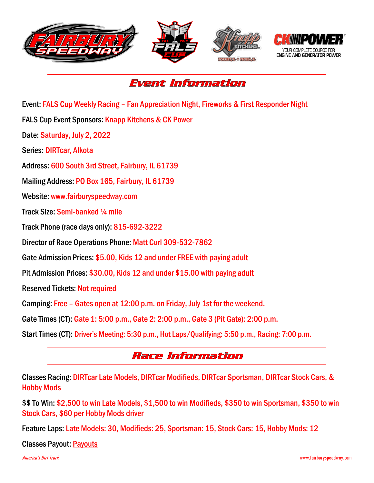

## Event Information

Event: FALS Cup Weekly Racing – Fan Appreciation Night, Fireworks & First Responder Night

FALS Cup Event Sponsors: Knapp Kitchens & CK Power

Date: Saturday, July 2, 2022

Series: DIRTcar, Alkota

Address: 600 South 3rd Street, Fairbury, IL 61739

Mailing Address: PO Box 165, Fairbury, IL 61739

Website: [www.fairburyspeedway.com](http://www.fairburyspeedway.com/)

Track Size: Semi-banked ¼ mile

Track Phone (race days only): 815-692-3222

Director of Race Operations Phone: Matt Curl 309-532-7862

Gate Admission Prices: \$5.00, Kids 12 and under FREE with paying adult

Pit Admission Prices: \$30.00, Kids 12 and under \$15.00 with paying adult

Reserved Tickets: Not required

Camping: Free – Gates open at 12:00 p.m. on Friday, July 1st for the weekend.

Gate Times (CT): Gate 1: 5:00 p.m., Gate 2: 2:00 p.m., Gate 3 (Pit Gate): 2:00 p.m.

Start Times (CT): Driver's Meeting: 5:30 p.m., Hot Laps/Qualifying: 5:50 p.m., Racing: 7:00 p.m.

## Race Information

Classes Racing: DIRTcar Late Models, DIRTcar Modifieds, DIRTcar Sportsman, DIRTcar Stock Cars, & Hobby Mods

\$\$ To Win: \$2,500 to win Late Models, \$1,500 to win Modifieds, \$350 to win Sportsman, \$350 to win Stock Cars, \$60 per Hobby Mods driver

Feature Laps: Late Models: 30, Modifieds: 25, Sportsman: 15, Stock Cars: 15, Hobby Mods: 12

Classes Payout: [Payouts](http://www.fairburyspeedway.com/payouts/2022/FALS_Cup_Weekly_Payout.pdf)